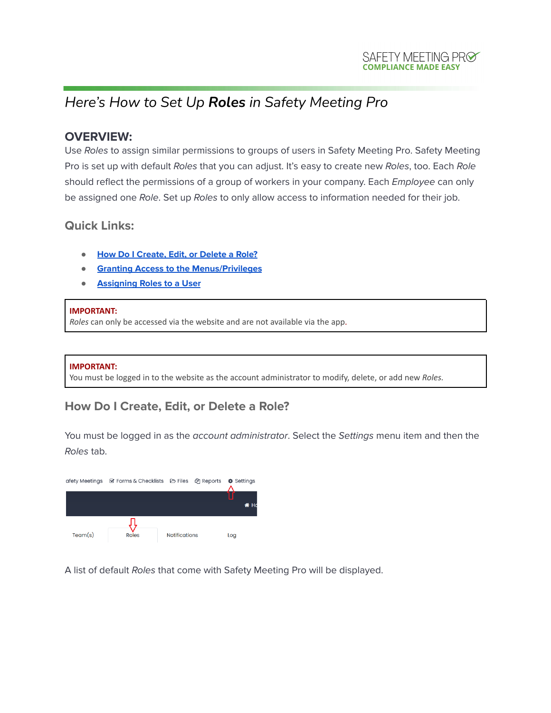## *Here's How to Set Up Roles in Safety Meeting Pro*

### **OVERVIEW:**

Use Roles to assign similar permissions to groups of users in Safety Meeting Pro. Safety Meeting Pro is set up with default Roles that you can adjust. It's easy to create new Roles, too. Each Role should reflect the permissions of a group of workers in your company. Each *Employee* can only be assigned one Role. Set up Roles to only allow access to information needed for their job.

### **Quick Links:**

- <span id="page-0-0"></span>**● How Do I [Create,](#page-0-0) Edit, or Delete a Role?**
- **● Granting Access to the Menus/Privileges**
- <span id="page-0-1"></span>**● [Assigning](#page-0-1) Roles to a User**

#### **IMPORTANT:**

*Roles* can only be accessed via the website and are not available via the app.

#### **IMPORTANT:**

You must be logged in to the website as the account administrator to modify, delete, or add new *Roles.*

## **How Do I Create, Edit, or Delete a Role?**

You must be logged in as the account administrator. Select the Settings menu item and then the Roles tab.



A list of default Roles that come with Safety Meeting Pro will be displayed.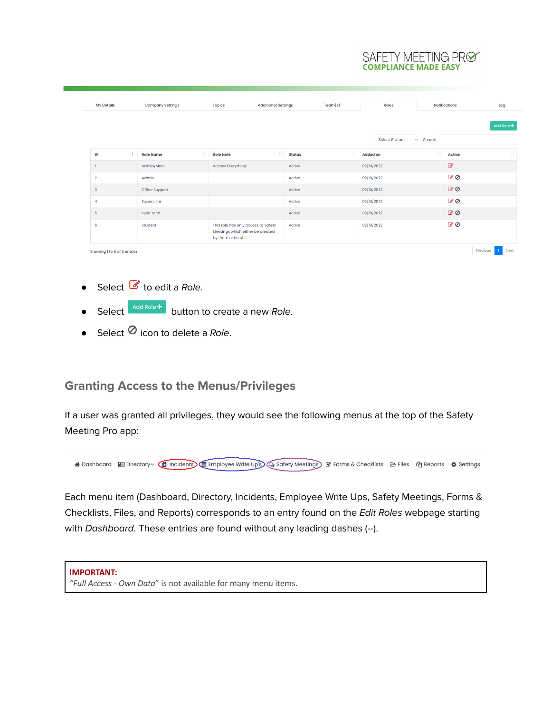#### SAFETY MEETING PRØ **COMPLIANCE MADE EASY**

| <b>My Details</b>           |    | <b>Company Settings</b> | <b>Topics</b>                                                                                   | <b>Additional Settings</b> |               | Team(s) |                 | Roles                |                | <b>Notifications</b> |          | Log        |
|-----------------------------|----|-------------------------|-------------------------------------------------------------------------------------------------|----------------------------|---------------|---------|-----------------|----------------------|----------------|----------------------|----------|------------|
|                             |    |                         |                                                                                                 |                            |               |         |                 |                      |                |                      |          | Add Role + |
|                             |    |                         |                                                                                                 |                            |               |         |                 | <b>Select Status</b> | $\vee$ Search: |                      |          |            |
| #                           | Ť. | 11<br><b>Role Name</b>  | <b>Role Note</b>                                                                                | 11                         | <b>Status</b> | 1I.     | <b>Added on</b> |                      | 11             | <b>Action</b>        |          | 11         |
|                             |    | Admin/Main              | <b>Access Everything!</b>                                                                       |                            | Active        |         | 02/10/2022      |                      |                | $\mathcal{C}$        |          |            |
| $\overline{2}$              |    | Admin                   |                                                                                                 |                            | Active        |         | 02/10/2022      |                      |                | 60                   |          |            |
| $\mathsf 3$                 |    | Office Support          |                                                                                                 |                            | Active        |         | 02/10/2022      |                      |                | 80                   |          |            |
| 4                           |    | Supervisor              |                                                                                                 |                            | Active        |         | 02/10/2022      |                      |                | 60                   |          |            |
| $\overline{5}$              |    | <b>Field Tech</b>       |                                                                                                 |                            | Active        |         | 02/10/2022      |                      |                | $\alpha$             |          |            |
| 6                           |    | Student                 | This role has only access to Safety<br>Meetings which either be created<br>by them or be of it. |                            | Active        |         | 02/10/2022      |                      |                | 60                   |          |            |
| Showing 1 to 6 of 6 entries |    |                         |                                                                                                 |                            |               |         |                 |                      |                |                      | Previous | Next       |

- Select  $\bullet$  to edit a Role.
- Select  $\overline{\phantom{a}}^{\text{Add Rob}}$  button to create a new *Role*.
- Select  $\odot$  icon to delete a Role.

## **Granting Access to the Menus/Privileges**

If a user was granted all privileges, they would see the following menus at the top of the Safety Meeting Pro app:



Each menu item (Dashboard, Directory, Incidents, Employee Write Ups, Safety Meetings, Forms & Checklists, Files, and Reports) corresponds to an entry found on the Edit Roles webpage starting with Dashboard. These entries are found without any leading dashes (--).

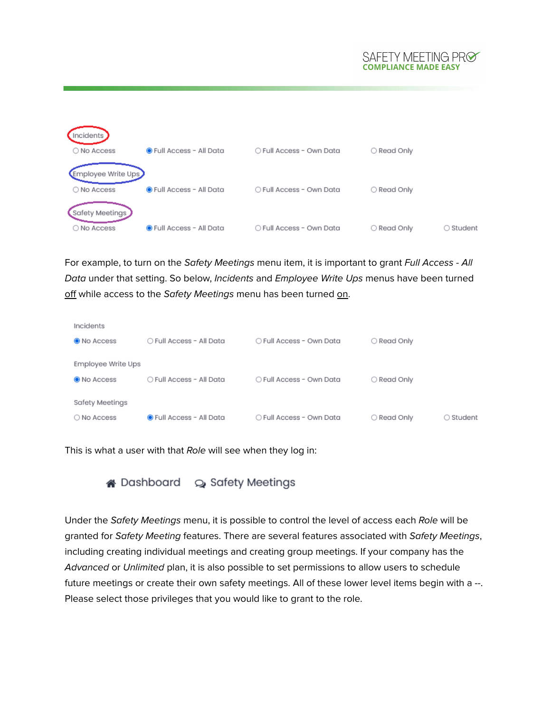#### SAFETY MEETING PRØ **COMPLIANCE MADE EASY**



For example, to turn on the Safety Meetings menu item, it is important to grant Full Access - All Data under that setting. So below, Incidents and Employee Write Ups menus have been turned off while access to the Safety Meetings menu has been turned on.

| Incidents          |                                 |                          |             |           |
|--------------------|---------------------------------|--------------------------|-------------|-----------|
| <b>O</b> No Access | ○ Full Access - All Data        | ○ Full Access - Own Data | ○ Read Only |           |
|                    |                                 |                          |             |           |
| Employee Write Ups |                                 |                          |             |           |
| O No Access        | ○ Full Access - All Data        | ○ Full Access - Own Data | ○ Read Only |           |
| Safety Meetings    |                                 |                          |             |           |
| O No Access        | <b>O</b> Full Access - All Data | ○ Full Access - Own Data | ○ Read Only | ○ Student |
|                    |                                 |                          |             |           |

This is what a user with that Role will see when they log in:



Under the Safety Meetings menu, it is possible to control the level of access each Role will be granted for Safety Meeting features. There are several features associated with Safety Meetings, including creating individual meetings and creating group meetings. If your company has the Advanced or Unlimited plan, it is also possible to set permissions to allow users to schedule future meetings or create their own safety meetings. All of these lower level items begin with a --. Please select those privileges that you would like to grant to the role.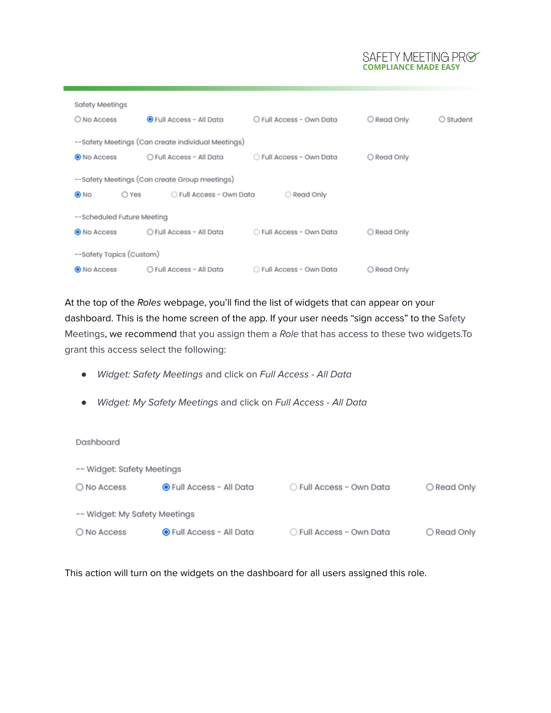# SAFETY MEETING PRO

| Safety Meetings            |                                                    |                          |             |             |  |  |  |  |
|----------------------------|----------------------------------------------------|--------------------------|-------------|-------------|--|--|--|--|
| O No Access                | <b>O</b> Full Access - All Data                    | O Full Access - Own Data | O Read Only | $O$ Student |  |  |  |  |
|                            |                                                    |                          |             |             |  |  |  |  |
|                            | --Safety Meetings (Can create individual Meetings) |                          |             |             |  |  |  |  |
| O No Access                | ○ Full Access - All Data                           | ○ Full Access - Own Data | ○ Read Only |             |  |  |  |  |
|                            |                                                    |                          |             |             |  |  |  |  |
|                            | --Safety Meetings (Can create Group meetings)      |                          |             |             |  |  |  |  |
| $\odot$ No<br>○ Yes        | ○ Full Access - Own Data                           | O Read Only              |             |             |  |  |  |  |
|                            |                                                    |                          |             |             |  |  |  |  |
| --Scheduled Future Meeting |                                                    |                          |             |             |  |  |  |  |
| O No Access                | O Full Access - All Data                           | ○ Full Access - Own Data | ○ Read Only |             |  |  |  |  |
|                            |                                                    |                          |             |             |  |  |  |  |
| --Safety Topics (Custom)   |                                                    |                          |             |             |  |  |  |  |
| O No Access                | O Full Access - All Data                           | ○ Full Access - Own Data | ○ Read Only |             |  |  |  |  |

At the top of the Roles webpage, you'll find the list of widgets that can appear on your dashboard. This is the home screen of the app. If your user needs "sign access" to the Safety Meetings, we recommend that you assign them a Role that has access to these two widgets.To grant this access select the following:

- Widget: Safety Meetings and click on Full Access All Data
- Widget: My Safety Meetings and click on Full Access All Data

Dashboard

| -- Widget: Safety Meetings    |                          |                          |             |  |  |  |  |
|-------------------------------|--------------------------|--------------------------|-------------|--|--|--|--|
| ◯ No Access                   | ● Full Access - All Data | ○ Full Access - Own Data | ○ Read Only |  |  |  |  |
|                               |                          |                          |             |  |  |  |  |
| -- Widget: My Safety Meetings |                          |                          |             |  |  |  |  |
| O No Access                   | ● Full Access - All Data | ○ Full Access - Own Data | ○ Read Only |  |  |  |  |

This action will turn on the widgets on the dashboard for all users assigned this role.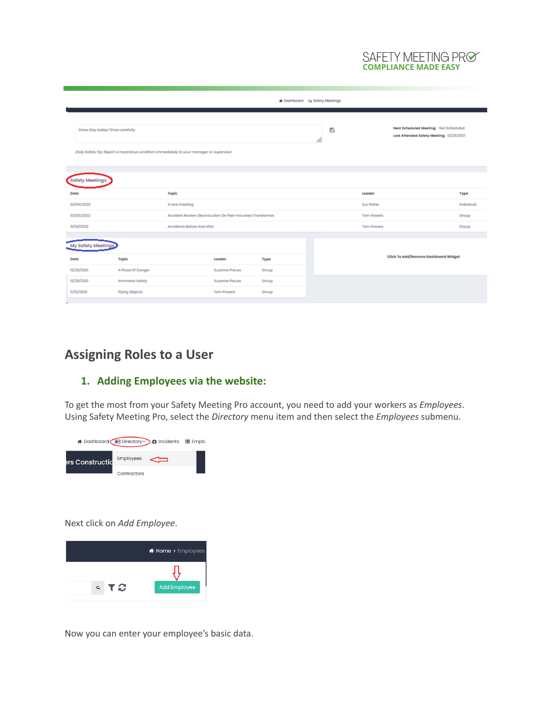## SAFETY MEETING PRO

|                                                                                                                               |                            |                            |                                                           |               | Boshboard Q Safety Meetings |                   |                                                                                   |                    |
|-------------------------------------------------------------------------------------------------------------------------------|----------------------------|----------------------------|-----------------------------------------------------------|---------------|-----------------------------|-------------------|-----------------------------------------------------------------------------------|--------------------|
| Snow Day today! Drive carefully.<br>Daily Safety Tip: Report a hazardous condition immediately to your manager or supervisor. |                            |                            |                                                           |               | B                           |                   | Next Scheduled Meeting: Not Scheduled<br>Last Attended Safety Meeting: 12/29/2021 |                    |
| <b>Safety Meetings</b><br>Date                                                                                                |                            | Topic                      |                                                           |               |                             | Leader            |                                                                                   |                    |
| 02/04/2022                                                                                                                    |                            | A new meeting              |                                                           |               |                             | Suz Potter        |                                                                                   | Type<br>Individual |
| 02/03/2022                                                                                                                    |                            |                            | Accident Review: Electrocution On Pad-mounted Transformer |               |                             | <b>Tom Powers</b> |                                                                                   | Group              |
| 01/18/2022                                                                                                                    |                            | Accidents Before And After |                                                           |               |                             | <b>Tom Powers</b> |                                                                                   | Group              |
| <b>Safety Meeting</b>                                                                                                         |                            |                            |                                                           |               |                             |                   | Click To Add/Remove Dashboard Widget                                              |                    |
| Date<br>12/29/2021                                                                                                            | Toplo<br>A Flood Of Danger |                            | Leader<br>Suzanne Preuss                                  | Type<br>Group |                             |                   |                                                                                   |                    |
| 12/29/2021                                                                                                                    | Ammonia Safety             |                            | Suzanne Preuss                                            | Group         |                             |                   |                                                                                   |                    |
| 11/23/2021                                                                                                                    | Flying Objects             |                            | <b>Tom Powers</b>                                         | Group         |                             |                   |                                                                                   |                    |

## **Assigning Roles to a User**

#### **1. Adding Employees via the website:**

To get the most from your Safety Meeting Pro account, you need to add your workers as *Employees*. Using Safety Meeting Pro, select the *Directory* menu item and then select the *Employees* submenu.



Next click on *Add Employee*.



Now you can enter your employee's basic data.